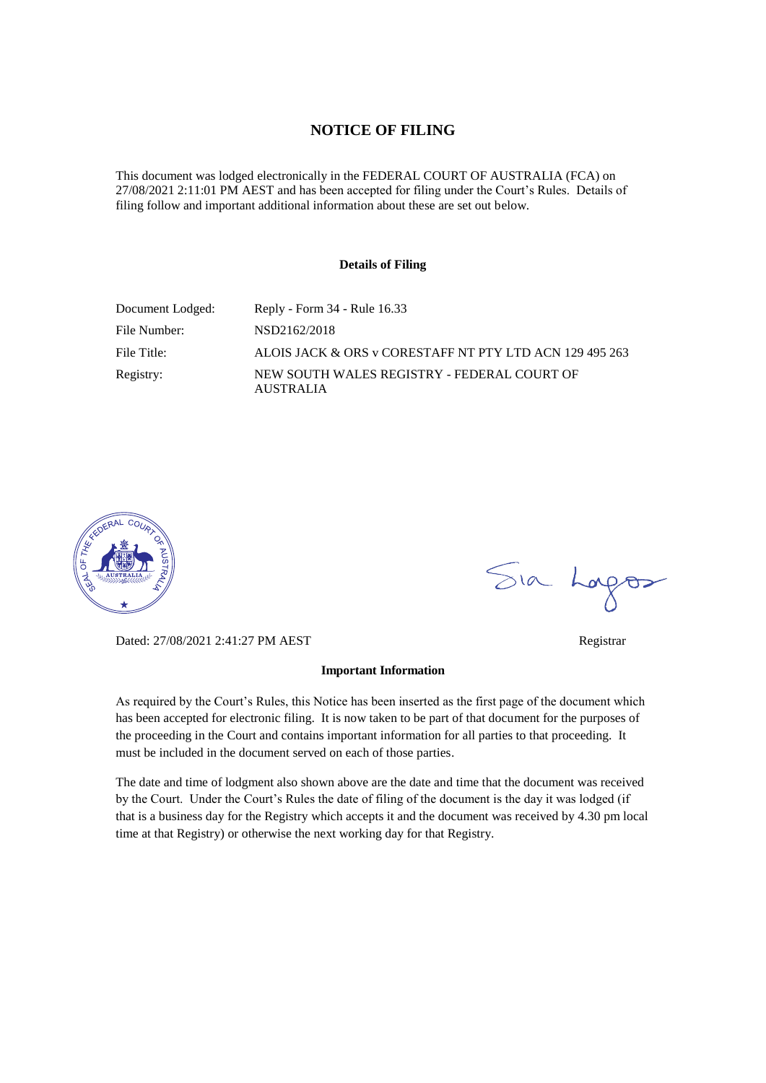# **NOTICE OF FILING**

This document was lodged electronically in the FEDERAL COURT OF AUSTRALIA (FCA) on 27/08/2021 2:11:01 PM AEST and has been accepted for filing under the Court's Rules. Details of filing follow and important additional information about these are set out below.

### **Details of Filing**

| Document Lodged: | Reply - Form 34 - Rule 16.33                             |
|------------------|----------------------------------------------------------|
| File Number:     | NSD2162/2018                                             |
| File Title:      | ALOIS JACK & ORS v CORESTAFF NT PTY LTD ACN 129 495 263  |
| Registry:        | NEW SOUTH WALES REGISTRY - FEDERAL COURT OF<br>AUSTRALIA |



Dated: 27/08/2021 2:41:27 PM AEST Registrar

#### **Important Information**

As required by the Court's Rules, this Notice has been inserted as the first page of the document which has been accepted for electronic filing. It is now taken to be part of that document for the purposes of the proceeding in the Court and contains important information for all parties to that proceeding. It must be included in the document served on each of those parties.

The date and time of lodgment also shown above are the date and time that the document was received by the Court. Under the Court's Rules the date of filing of the document is the day it was lodged (if that is a business day for the Registry which accepts it and the document was received by 4.30 pm local time at that Registry) or otherwise the next working day for that Registry.

Sia Logos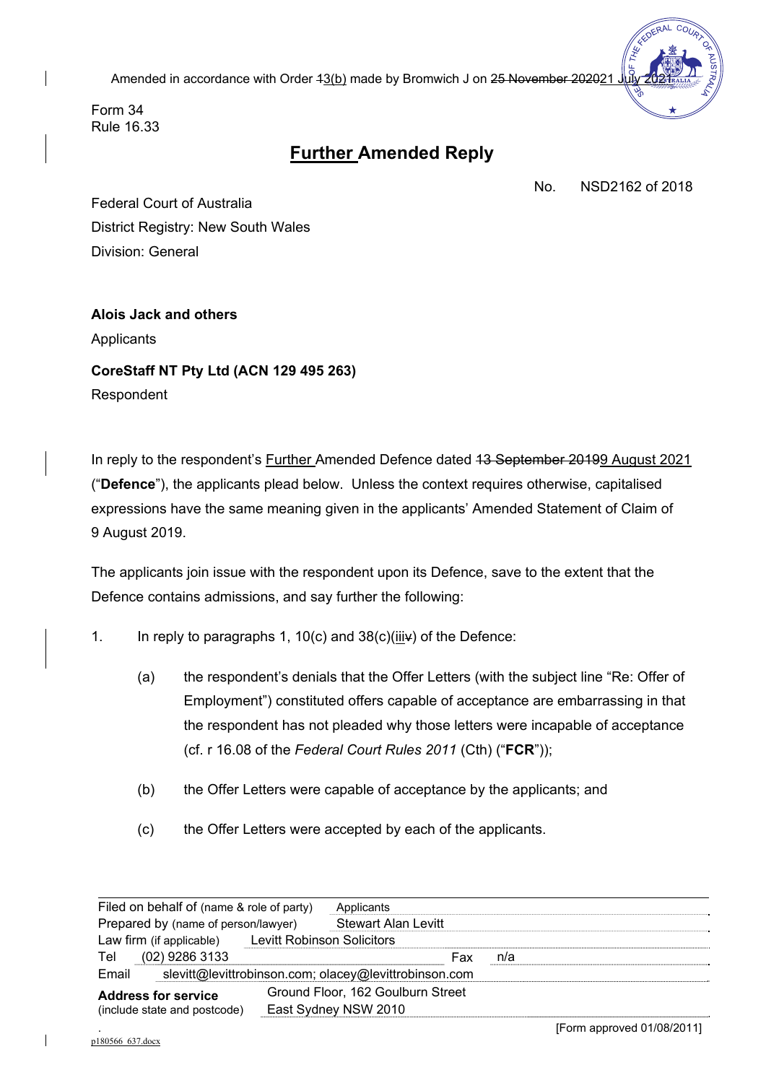Amended in accordance with Order 43(b) made by Bromwich J on 25 November 202021



Form 34 Rule 16.33

# **Further Amended Reply**

No. NSD2162 of 2018

Federal Court of Australia District Registry: New South Wales Division: General

**Alois Jack and others** Applicants **CoreStaff NT Pty Ltd (ACN 129 495 263)** Respondent

In reply to the respondent's **Further Amended Defence dated 13 September 20199 August 2021** ("**Defence**"), the applicants plead below. Unless the context requires otherwise, capitalised expressions have the same meaning given in the applicants' Amended Statement of Claim of 9 August 2019.

The applicants join issue with the respondent upon its Defence, save to the extent that the Defence contains admissions, and say further the following:

- 1. In reply to paragraphs 1, 10(c) and  $38(c)(iiiv)$  of the Defence:
	- (a) the respondent's denials that the Offer Letters (with the subject line "Re: Offer of Employment") constituted offers capable of acceptance are embarrassing in that the respondent has not pleaded why those letters were incapable of acceptance (cf. r 16.08 of the *Federal Court Rules 2011* (Cth) ("**FCR**"));
	- (b) the Offer Letters were capable of acceptance by the applicants; and
	- (c) the Offer Letters were accepted by each of the applicants.

| Filed on behalf of (name & role of party)                      |  | Applicants                        |     |     |  |
|----------------------------------------------------------------|--|-----------------------------------|-----|-----|--|
| Prepared by (name of person/lawyer)                            |  | <b>Stewart Alan Levitt</b>        |     |     |  |
| Law firm (if applicable) Levitt Robinson Solicitors            |  |                                   |     |     |  |
| (02) 9286 3133<br>Tel                                          |  |                                   | Fax | n/a |  |
| Email<br>slevitt@levittrobinson.com; olacey@levittrobinson.com |  |                                   |     |     |  |
| <b>Address for service</b><br>(include state and postcode)     |  | Ground Floor, 162 Goulburn Street |     |     |  |
|                                                                |  | East Sydney NSW 2010              |     |     |  |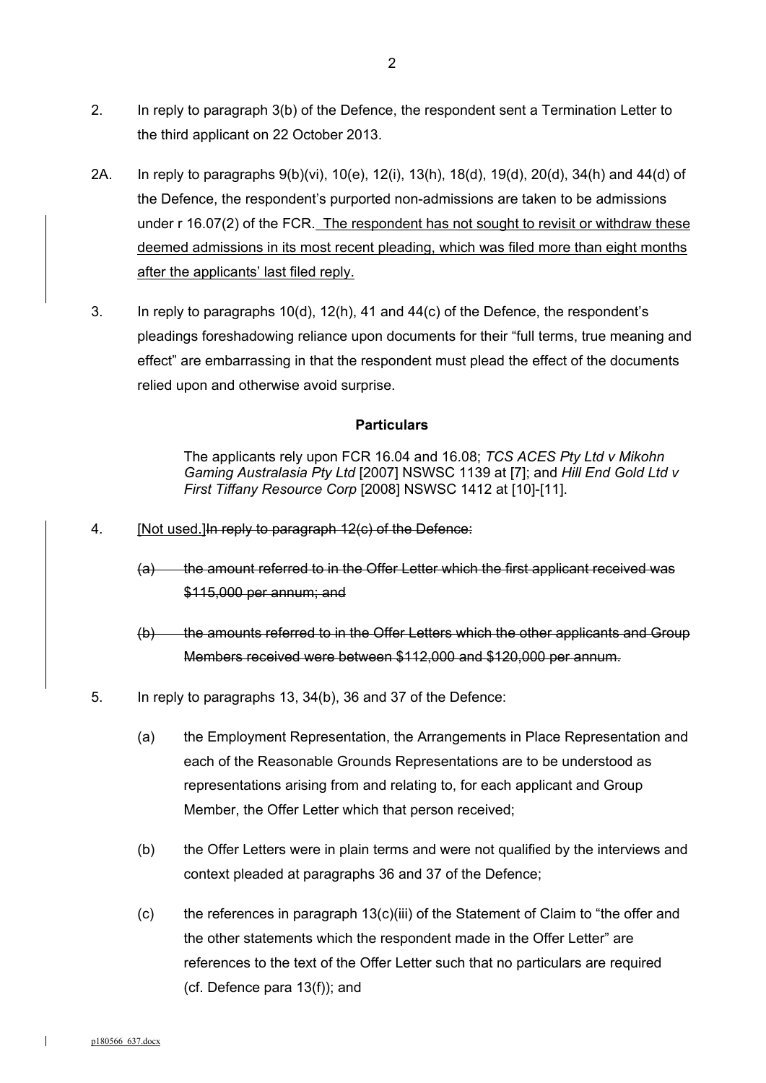- 2. In reply to paragraph 3(b) of the Defence, the respondent sent a Termination Letter to the third applicant on 22 October 2013.
- 2A. In reply to paragraphs 9(b)(vi), 10(e), 12(i), 13(h), 18(d), 19(d), 20(d), 34(h) and 44(d) of the Defence, the respondent's purported non-admissions are taken to be admissions under r 16.07(2) of the FCR. The respondent has not sought to revisit or withdraw these deemed admissions in its most recent pleading, which was filed more than eight months after the applicants' last filed reply.
- 3. In reply to paragraphs 10(d), 12(h), 41 and 44(c) of the Defence, the respondent's pleadings foreshadowing reliance upon documents for their "full terms, true meaning and effect" are embarrassing in that the respondent must plead the effect of the documents relied upon and otherwise avoid surprise.

## **Particulars**

The applicants rely upon FCR 16.04 and 16.08; *TCS ACES Pty Ltd v Mikohn Gaming Australasia Pty Ltd* [2007] NSWSC 1139 at [7]; and *Hill End Gold Ltd v First Tiffany Resource Corp* [2008] NSWSC 1412 at [10]-[11].

- 4. [Not used.] In reply to paragraph 12(c) of the Defence:
	- (a) the amount referred to in the Offer Letter which the first applicant received was \$115,000 per annum; and
	- (b) the amounts referred to in the Offer Letters which the other applicants and Group Members received were between \$112,000 and \$120,000 per annum.
- 5. In reply to paragraphs 13, 34(b), 36 and 37 of the Defence:
	- (a) the Employment Representation, the Arrangements in Place Representation and each of the Reasonable Grounds Representations are to be understood as representations arising from and relating to, for each applicant and Group Member, the Offer Letter which that person received;
	- (b) the Offer Letters were in plain terms and were not qualified by the interviews and context pleaded at paragraphs 36 and 37 of the Defence;
	- $(c)$  the references in paragraph 13 $(c)$ (iii) of the Statement of Claim to "the offer and the other statements which the respondent made in the Offer Letter" are references to the text of the Offer Letter such that no particulars are required (cf. Defence para 13(f)); and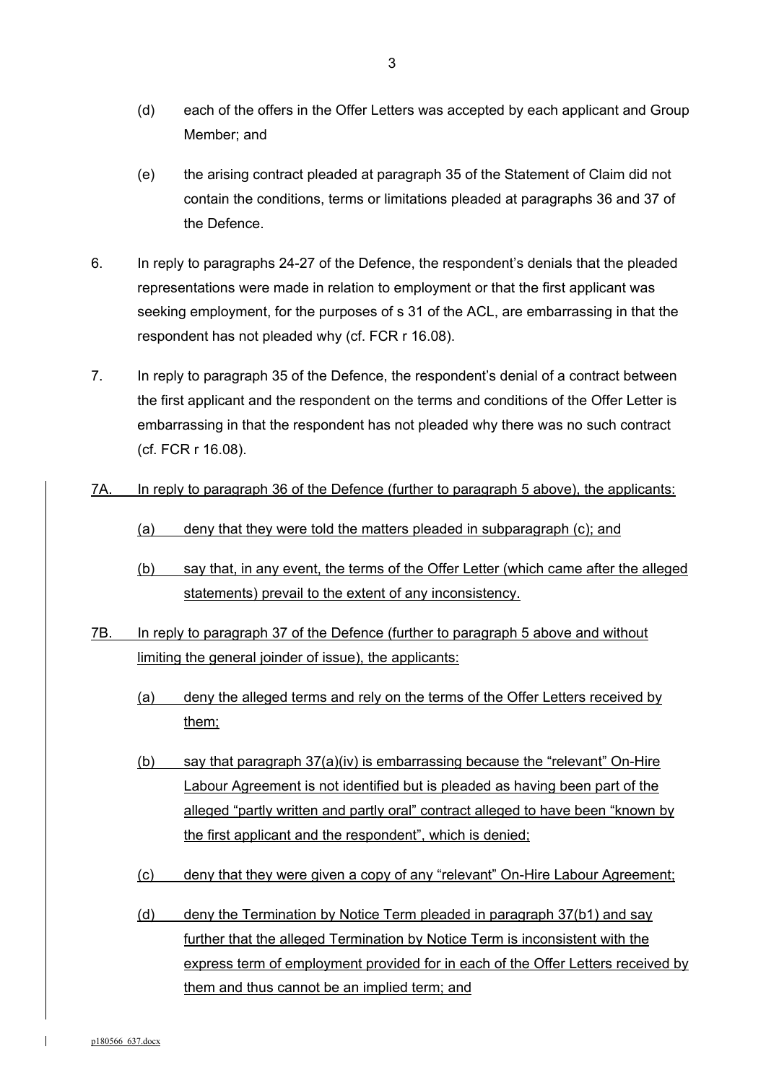- (d) each of the offers in the Offer Letters was accepted by each applicant and Group Member; and
- (e) the arising contract pleaded at paragraph 35 of the Statement of Claim did not contain the conditions, terms or limitations pleaded at paragraphs 36 and 37 of the Defence.
- 6. In reply to paragraphs 24-27 of the Defence, the respondent's denials that the pleaded representations were made in relation to employment or that the first applicant was seeking employment, for the purposes of s 31 of the ACL, are embarrassing in that the respondent has not pleaded why (cf. FCR r 16.08).
- 7. In reply to paragraph 35 of the Defence, the respondent's denial of a contract between the first applicant and the respondent on the terms and conditions of the Offer Letter is embarrassing in that the respondent has not pleaded why there was no such contract (cf. FCR r 16.08).
- 7A. In reply to paragraph 36 of the Defence (further to paragraph 5 above), the applicants:
	- (a) deny that they were told the matters pleaded in subparagraph (c); and
	- (b) say that, in any event, the terms of the Offer Letter (which came after the alleged statements) prevail to the extent of any inconsistency.
- 7B. In reply to paragraph 37 of the Defence (further to paragraph 5 above and without limiting the general joinder of issue), the applicants:
	- (a) deny the alleged terms and rely on the terms of the Offer Letters received by them;
	- (b) say that paragraph  $37(a)(iv)$  is embarrassing because the "relevant" On-Hire Labour Agreement is not identified but is pleaded as having been part of the alleged "partly written and partly oral" contract alleged to have been "known by the first applicant and the respondent", which is denied;
	- (c) deny that they were given a copy of any "relevant" On-Hire Labour Agreement;
	- (d) deny the Termination by Notice Term pleaded in paragraph 37(b1) and say further that the alleged Termination by Notice Term is inconsistent with the express term of employment provided for in each of the Offer Letters received by them and thus cannot be an implied term; and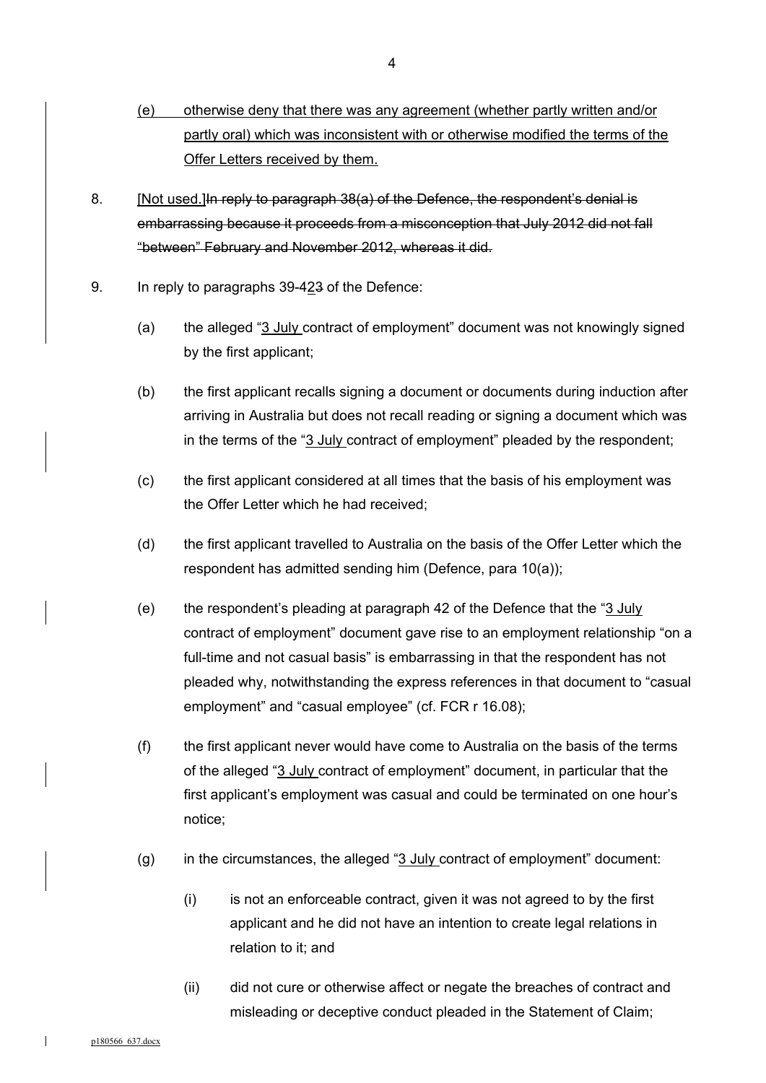- (e) otherwise deny that there was any agreement (whether partly written and/or partly oral) which was inconsistent with or otherwise modified the terms of the Offer Letters received by them.
- 8. [Not used.] In reply to paragraph 38(a) of the Defence, the respondent's denial is embarrassing because it proceeds from a misconception that July 2012 did not fall "between" February and November 2012, whereas it did.
- 9. In reply to paragraphs 39-423 of the Defence:
	- (a) the alleged " $3$  July contract of employment" document was not knowingly signed by the first applicant;
	- (b) the first applicant recalls signing a document or documents during induction after arriving in Australia but does not recall reading or signing a document which was in the terms of the "3 July contract of employment" pleaded by the respondent;
	- (c) the first applicant considered at all times that the basis of his employment was the Offer Letter which he had received;
	- (d) the first applicant travelled to Australia on the basis of the Offer Letter which the respondent has admitted sending him (Defence, para 10(a));
	- (e) the respondent's pleading at paragraph 42 of the Defence that the "3 July contract of employment" document gave rise to an employment relationship "on a full-time and not casual basis" is embarrassing in that the respondent has not pleaded why, notwithstanding the express references in that document to "casual employment" and "casual employee" (cf. FCR r 16.08);
	- (f) the first applicant never would have come to Australia on the basis of the terms of the alleged "3 July contract of employment" document, in particular that the first applicant's employment was casual and could be terminated on one hour's notice;
	- (g) in the circumstances, the alleged " $3$  July contract of employment" document:
		- (i) is not an enforceable contract, given it was not agreed to by the first applicant and he did not have an intention to create legal relations in relation to it; and
		- (ii) did not cure or otherwise affect or negate the breaches of contract and misleading or deceptive conduct pleaded in the Statement of Claim;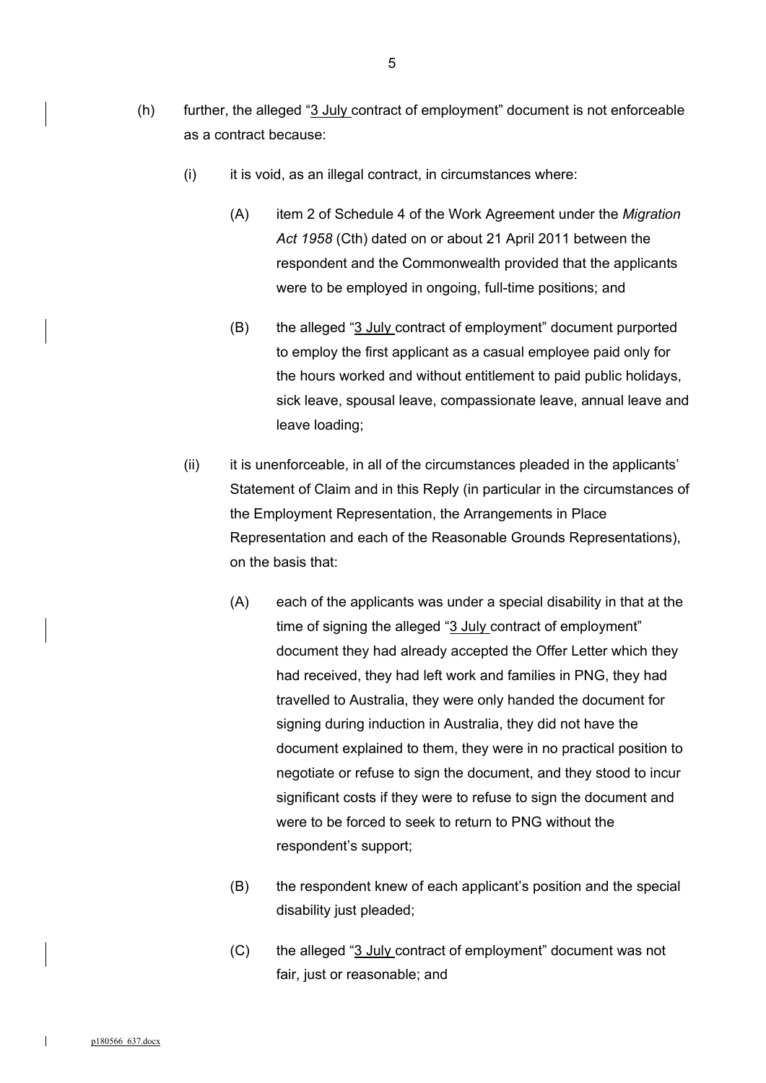- (h) further, the alleged "3 July contract of employment" document is not enforceable as a contract because:
	- $(i)$  it is void, as an illegal contract, in circumstances where:
		- (A) item 2 of Schedule 4 of the Work Agreement under the *Migration Act 1958* (Cth) dated on or about 21 April 2011 between the respondent and the Commonwealth provided that the applicants were to be employed in ongoing, full-time positions; and
		- (B) the alleged "3 July contract of employment" document purported to employ the first applicant as a casual employee paid only for the hours worked and without entitlement to paid public holidays, sick leave, spousal leave, compassionate leave, annual leave and leave loading;
	- (ii) it is unenforceable, in all of the circumstances pleaded in the applicants' Statement of Claim and in this Reply (in particular in the circumstances of the Employment Representation, the Arrangements in Place Representation and each of the Reasonable Grounds Representations), on the basis that:
		- (A) each of the applicants was under a special disability in that at the time of signing the alleged "3 July contract of employment" document they had already accepted the Offer Letter which they had received, they had left work and families in PNG, they had travelled to Australia, they were only handed the document for signing during induction in Australia, they did not have the document explained to them, they were in no practical position to negotiate or refuse to sign the document, and they stood to incur significant costs if they were to refuse to sign the document and were to be forced to seek to return to PNG without the respondent's support;
		- (B) the respondent knew of each applicant's position and the special disability just pleaded;
		- (C) the alleged "3 July contract of employment" document was not fair, just or reasonable; and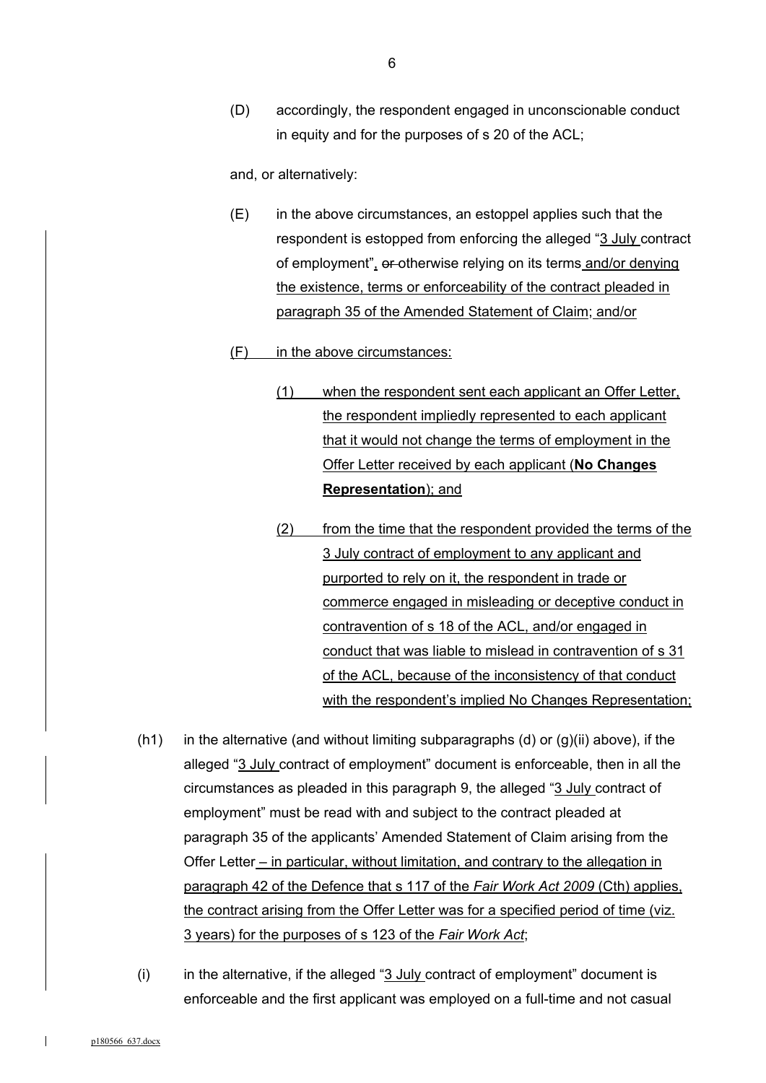(D) accordingly, the respondent engaged in unconscionable conduct in equity and for the purposes of s 20 of the ACL;

and, or alternatively:

(E) in the above circumstances, an estoppel applies such that the respondent is estopped from enforcing the alleged "3 July contract of employment", or otherwise relying on its terms and/or denying the existence, terms or enforceability of the contract pleaded in paragraph 35 of the Amended Statement of Claim; and/or

### (F) in the above circumstances:

- (1) when the respondent sent each applicant an Offer Letter, the respondent impliedly represented to each applicant that it would not change the terms of employment in the Offer Letter received by each applicant (**No Changes Representation**); and
- (2) from the time that the respondent provided the terms of the 3 July contract of employment to any applicant and purported to rely on it, the respondent in trade or commerce engaged in misleading or deceptive conduct in contravention of s 18 of the ACL, and/or engaged in conduct that was liable to mislead in contravention of s 31 of the ACL, because of the inconsistency of that conduct with the respondent's implied No Changes Representation;
- (h1) in the alternative (and without limiting subparagraphs (d) or  $(q)(ii)$  above), if the alleged "3 July contract of employment" document is enforceable, then in all the circumstances as pleaded in this paragraph 9, the alleged "3 July contract of employment" must be read with and subject to the contract pleaded at paragraph 35 of the applicants' Amended Statement of Claim arising from the Offer Letter – in particular, without limitation, and contrary to the allegation in paragraph 42 of the Defence that s 117 of the *Fair Work Act 2009* (Cth) applies, the contract arising from the Offer Letter was for a specified period of time (viz. 3 years) for the purposes of s 123 of the *Fair Work Act*;
- (i) in the alternative, if the alleged " $3$  July contract of employment" document is enforceable and the first applicant was employed on a full-time and not casual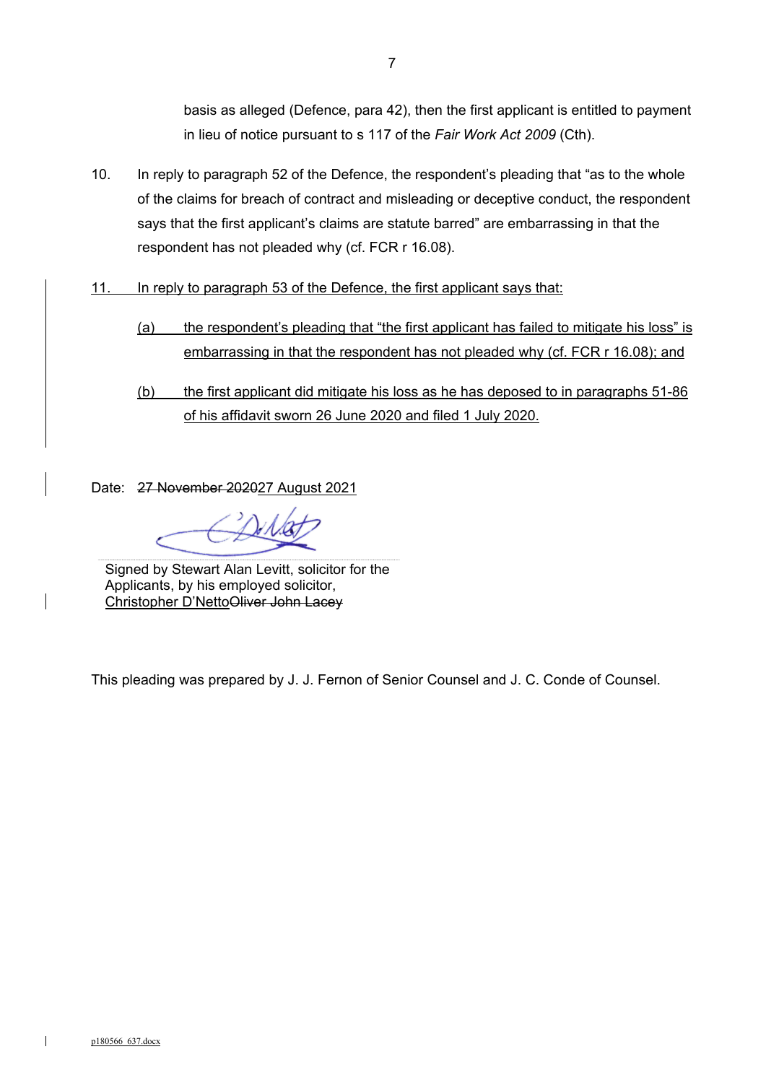basis as alleged (Defence, para 42), then the first applicant is entitled to payment in lieu of notice pursuant to s 117 of the *Fair Work Act 2009* (Cth).

- 10. In reply to paragraph 52 of the Defence, the respondent's pleading that "as to the whole of the claims for breach of contract and misleading or deceptive conduct, the respondent says that the first applicant's claims are statute barred" are embarrassing in that the respondent has not pleaded why (cf. FCR r 16.08).
- 11. In reply to paragraph 53 of the Defence, the first applicant says that:
	- (a) the respondent's pleading that "the first applicant has failed to mitigate his loss" is embarrassing in that the respondent has not pleaded why (cf. FCR r 16.08); and
	- (b) the first applicant did mitigate his loss as he has deposed to in paragraphs 51-86 of his affidavit sworn 26 June 2020 and filed 1 July 2020.

Date: 27 November 202027 August 2021

Signed by Stewart Alan Levitt, solicitor for the Applicants, by his employed solicitor, Christopher D'NettoOliver John Lacey

This pleading was prepared by J. J. Fernon of Senior Counsel and J. C. Conde of Counsel.